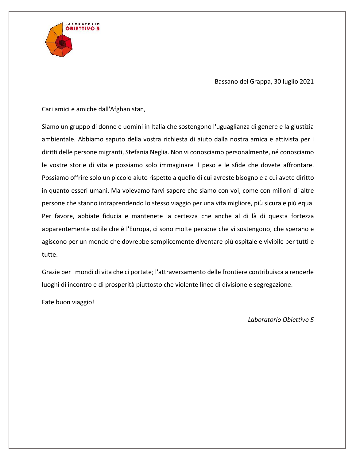

Bassano del Grappa, 30 luglio 2021

Cari amici e amiche dall'Afghanistan,

Siamo un gruppo di donne e uomini in Italia che sostengono l'uguaglianza di genere e la giustizia ambientale. Abbiamo saputo della vostra richiesta di aiuto dalla nostra amica e attivista per i diritti delle persone migranti, Stefania Neglia. Non vi conosciamo personalmente, né conosciamo le vostre storie di vita e possiamo solo immaginare il peso e le sfide che dovete affrontare. Possiamo offrire solo un piccolo aiuto rispetto a quello di cui avreste bisogno e a cui avete diritto in quanto esseri umani. Ma volevamo farvi sapere che siamo con voi, come con milioni di altre persone che stanno intraprendendo lo stesso viaggio per una vita migliore, più sicura e più equa. Per favore, abbiate fiducia e mantenete la certezza che anche al di là di questa fortezza apparentemente ostile che è l'Europa, ci sono molte persone che vi sostengono, che sperano e agiscono per un mondo che dovrebbe semplicemente diventare più ospitale e vivibile per tutti e tutte.

Grazie per i mondi di vita che ci portate; l'attraversamento delle frontiere contribuisca a renderle luoghi di incontro e di prosperità piuttosto che violente linee di divisione e segregazione.

Fate buon viaggio!

*Laboratorio Obiettivo 5*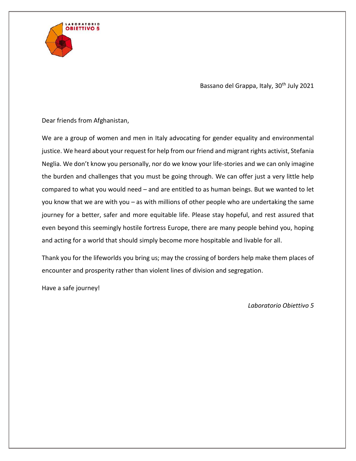

Bassano del Grappa, Italy, 30<sup>th</sup> July 2021

Dear friends from Afghanistan,

We are a group of women and men in Italy advocating for gender equality and environmental justice. We heard about your request for help from our friend and migrant rights activist, Stefania Neglia. We don't know you personally, nor do we know your life-stories and we can only imagine the burden and challenges that you must be going through. We can offer just a very little help compared to what you would need – and are entitled to as human beings. But we wanted to let you know that we are with you – as with millions of other people who are undertaking the same journey for a better, safer and more equitable life. Please stay hopeful, and rest assured that even beyond this seemingly hostile fortress Europe, there are many people behind you, hoping and acting for a world that should simply become more hospitable and livable for all.

Thank you for the lifeworlds you bring us; may the crossing of borders help make them places of encounter and prosperity rather than violent lines of division and segregation.

Have a safe journey!

*Laboratorio Obiettivo 5*